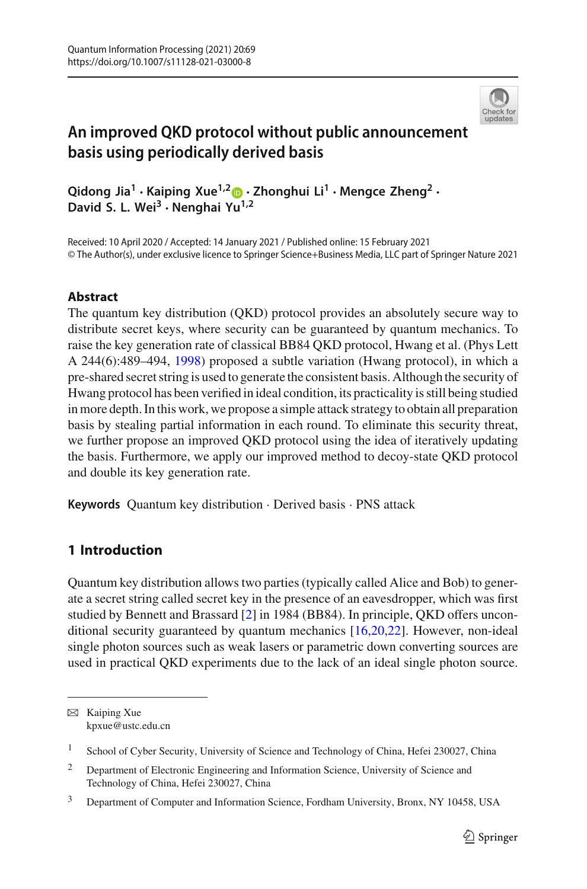

# **An improved QKD protocol without public announcement basis using periodically derived basis**

**Qidong Jia1 · Kaiping Xue1,[2](http://orcid.org/0000-0003-2095-7523) · Zhonghui Li1 · Mengce Zheng2 · David S. L. Wei3 · Nenghai Yu1,2**

Received: 10 April 2020 / Accepted: 14 January 2021 / Published online: 15 February 2021 © The Author(s), under exclusive licence to Springer Science+Business Media, LLC part of Springer Nature 2021

### **Abstract**

The quantum key distribution (QKD) protocol provides an absolutely secure way to distribute secret keys, where security can be guaranteed by quantum mechanics. To raise the key generation rate of classical BB84 QKD protocol, Hwang et al. (Phys Lett A 244(6):489–494, [1998\)](#page-9-0) proposed a subtle variation (Hwang protocol), in which a pre-shared secret string is used to generate the consistent basis. Although the security of Hwang protocol has been verified in ideal condition, its practicality is still being studied in more depth. In this work, we propose a simple attack strategy to obtain all preparation basis by stealing partial information in each round. To eliminate this security threat, we further propose an improved QKD protocol using the idea of iteratively updating the basis. Furthermore, we apply our improved method to decoy-state QKD protocol and double its key generation rate.

**Keywords** Quantum key distribution · Derived basis · PNS attack

## **1 Introduction**

Quantum key distribution allows two parties (typically called Alice and Bob) to generate a secret string called secret key in the presence of an eavesdropper, which was first studied by Bennett and Brassard [\[2\]](#page-9-1) in 1984 (BB84). In principle, QKD offers unconditional security guaranteed by quantum mechanics [\[16](#page-10-0)[,20](#page-10-1)[,22](#page-10-2)]. However, non-ideal single photon sources such as weak lasers or parametric down converting sources are used in practical QKD experiments due to the lack of an ideal single photon source.

 $\boxtimes$  Kaiping Xue kpxue@ustc.edu.cn

<sup>&</sup>lt;sup>1</sup> School of Cyber Security, University of Science and Technology of China, Hefei 230027, China

<sup>&</sup>lt;sup>2</sup> Department of Electronic Engineering and Information Science, University of Science and Technology of China, Hefei 230027, China

<sup>&</sup>lt;sup>3</sup> Department of Computer and Information Science, Fordham University, Bronx, NY 10458, USA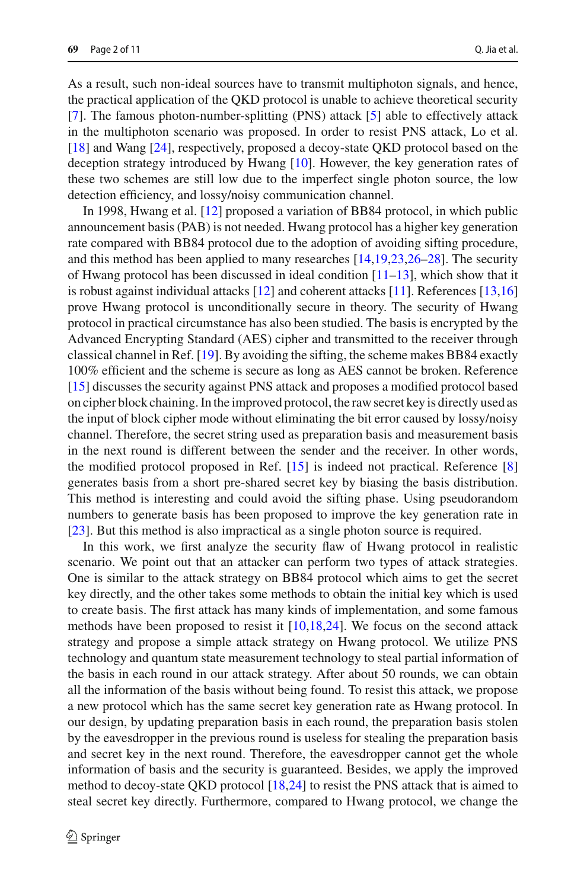As a result, such non-ideal sources have to transmit multiphoton signals, and hence, the practical application of the QKD protocol is unable to achieve theoretical security [\[7](#page-9-2)]. The famous photon-number-splitting (PNS) attack [\[5](#page-9-3)] able to effectively attack in the multiphoton scenario was proposed. In order to resist PNS attack, Lo et al. [\[18](#page-10-3)] and Wang [\[24](#page-10-4)], respectively, proposed a decoy-state QKD protocol based on the deception strategy introduced by Hwang [\[10\]](#page-9-4). However, the key generation rates of these two schemes are still low due to the imperfect single photon source, the low detection efficiency, and lossy/noisy communication channel.

In 1998, Hwang et al. [\[12](#page-9-0)] proposed a variation of BB84 protocol, in which public announcement basis (PAB) is not needed. Hwang protocol has a higher key generation rate compared with BB84 protocol due to the adoption of avoiding sifting procedure, and this method has been applied to many researches [\[14](#page-9-5)[,19](#page-10-5)[,23](#page-10-6)[,26](#page-10-7)[–28](#page-10-8)]. The security of Hwang protocol has been discussed in ideal condition  $[11-13]$  $[11-13]$ , which show that it is robust against individual attacks [\[12\]](#page-9-0) and coherent attacks [\[11](#page-9-6)]. References [\[13](#page-9-7)[,16\]](#page-10-0) prove Hwang protocol is unconditionally secure in theory. The security of Hwang protocol in practical circumstance has also been studied. The basis is encrypted by the Advanced Encrypting Standard (AES) cipher and transmitted to the receiver through classical channel in Ref. [\[19\]](#page-10-5). By avoiding the sifting, the scheme makes BB84 exactly 100% efficient and the scheme is secure as long as AES cannot be broken. Reference [\[15](#page-10-9)] discusses the security against PNS attack and proposes a modified protocol based on cipher block chaining. In the improved protocol, the raw secret key is directly used as the input of block cipher mode without eliminating the bit error caused by lossy/noisy channel. Therefore, the secret string used as preparation basis and measurement basis in the next round is different between the sender and the receiver. In other words, the modified protocol proposed in Ref. [\[15\]](#page-10-9) is indeed not practical. Reference [\[8\]](#page-9-8) generates basis from a short pre-shared secret key by biasing the basis distribution. This method is interesting and could avoid the sifting phase. Using pseudorandom numbers to generate basis has been proposed to improve the key generation rate in [\[23](#page-10-6)]. But this method is also impractical as a single photon source is required.

In this work, we first analyze the security flaw of Hwang protocol in realistic scenario. We point out that an attacker can perform two types of attack strategies. One is similar to the attack strategy on BB84 protocol which aims to get the secret key directly, and the other takes some methods to obtain the initial key which is used to create basis. The first attack has many kinds of implementation, and some famous methods have been proposed to resist it  $[10,18,24]$  $[10,18,24]$  $[10,18,24]$  $[10,18,24]$ . We focus on the second attack strategy and propose a simple attack strategy on Hwang protocol. We utilize PNS technology and quantum state measurement technology to steal partial information of the basis in each round in our attack strategy. After about 50 rounds, we can obtain all the information of the basis without being found. To resist this attack, we propose a new protocol which has the same secret key generation rate as Hwang protocol. In our design, by updating preparation basis in each round, the preparation basis stolen by the eavesdropper in the previous round is useless for stealing the preparation basis and secret key in the next round. Therefore, the eavesdropper cannot get the whole information of basis and the security is guaranteed. Besides, we apply the improved method to decoy-state QKD protocol [\[18](#page-10-3)[,24](#page-10-4)] to resist the PNS attack that is aimed to steal secret key directly. Furthermore, compared to Hwang protocol, we change the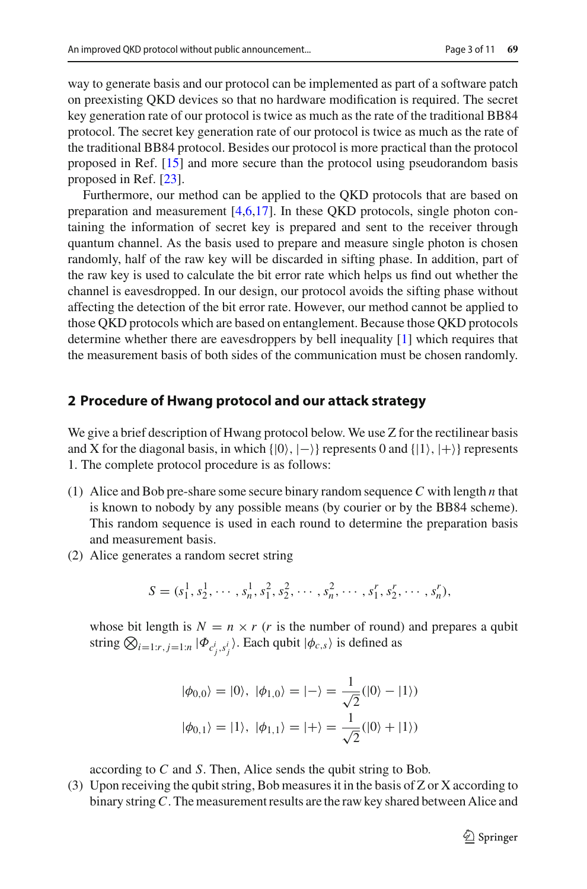way to generate basis and our protocol can be implemented as part of a software patch on preexisting QKD devices so that no hardware modification is required. The secret key generation rate of our protocol is twice as much as the rate of the traditional BB84 protocol. The secret key generation rate of our protocol is twice as much as the rate of the traditional BB84 protocol. Besides our protocol is more practical than the protocol proposed in Ref. [\[15](#page-10-9)] and more secure than the protocol using pseudorandom basis proposed in Ref. [\[23\]](#page-10-6).

Furthermore, our method can be applied to the QKD protocols that are based on preparation and measurement  $[4,6,17]$  $[4,6,17]$  $[4,6,17]$  $[4,6,17]$ . In these QKD protocols, single photon containing the information of secret key is prepared and sent to the receiver through quantum channel. As the basis used to prepare and measure single photon is chosen randomly, half of the raw key will be discarded in sifting phase. In addition, part of the raw key is used to calculate the bit error rate which helps us find out whether the channel is eavesdropped. In our design, our protocol avoids the sifting phase without affecting the detection of the bit error rate. However, our method cannot be applied to those QKD protocols which are based on entanglement. Because those QKD protocols determine whether there are eavesdroppers by bell inequality [\[1](#page-9-11)] which requires that the measurement basis of both sides of the communication must be chosen randomly.

#### **2 Procedure of Hwang protocol and our attack strategy**

We give a brief description of Hwang protocol below. We use Z for the rectilinear basis and X for the diagonal basis, in which  $\{|0\rangle, |-\rangle\}$  represents 0 and  $\{|1\rangle, |+\rangle\}$  represents 1. The complete protocol procedure is as follows:

- (1) Alice and Bob pre-share some secure binary random sequence *C* with length *n* that is known to nobody by any possible means (by courier or by the BB84 scheme). This random sequence is used in each round to determine the preparation basis and measurement basis.
- (2) Alice generates a random secret string

$$
S = (s_1^1, s_2^1, \cdots, s_n^1, s_1^2, s_2^2, \cdots, s_n^2, \cdots, s_1^r, s_2^r, \cdots, s_n^r),
$$

whose bit length is  $N = n \times r$  (*r* is the number of round) and prepares a qubit string  $\bigotimes_{i=1:r, j=1:n} |\Phi_{c^i_j, s^i_j}\rangle$ . Each qubit  $|\phi_{c,s}\rangle$  is defined as

$$
|\phi_{0,0}\rangle = |0\rangle, |\phi_{1,0}\rangle = |-\rangle = \frac{1}{\sqrt{2}}(|0\rangle - |1\rangle)
$$
  
 $|\phi_{0,1}\rangle = |1\rangle, |\phi_{1,1}\rangle = |+\rangle = \frac{1}{\sqrt{2}}(|0\rangle + |1\rangle)$ 

according to *C* and *S*. Then, Alice sends the qubit string to Bob.

(3) Upon receiving the qubit string, Bob measures it in the basis of Z or X according to binary string*C*. The measurement results are the raw key shared between Alice and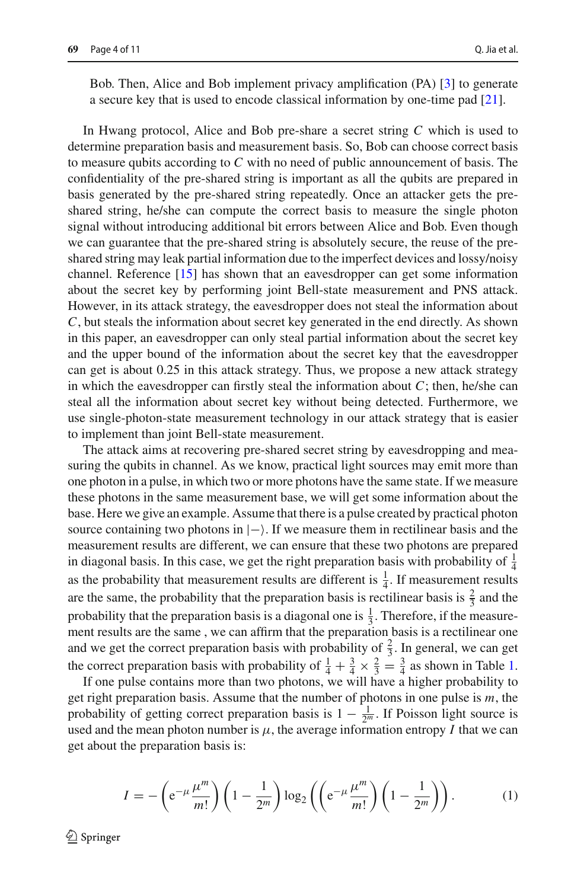Bob. Then, Alice and Bob implement privacy amplification (PA) [\[3\]](#page-9-12) to generate a secure key that is used to encode classical information by one-time pad [\[21](#page-10-11)].

In Hwang protocol, Alice and Bob pre-share a secret string *C* which is used to determine preparation basis and measurement basis. So, Bob can choose correct basis to measure qubits according to *C* with no need of public announcement of basis. The confidentiality of the pre-shared string is important as all the qubits are prepared in basis generated by the pre-shared string repeatedly. Once an attacker gets the preshared string, he/she can compute the correct basis to measure the single photon signal without introducing additional bit errors between Alice and Bob. Even though we can guarantee that the pre-shared string is absolutely secure, the reuse of the preshared string may leak partial information due to the imperfect devices and lossy/noisy channel. Reference [\[15\]](#page-10-9) has shown that an eavesdropper can get some information about the secret key by performing joint Bell-state measurement and PNS attack. However, in its attack strategy, the eavesdropper does not steal the information about *C*, but steals the information about secret key generated in the end directly. As shown in this paper, an eavesdropper can only steal partial information about the secret key and the upper bound of the information about the secret key that the eavesdropper can get is about 0.25 in this attack strategy. Thus, we propose a new attack strategy in which the eavesdropper can firstly steal the information about  $C$ ; then, he/she can steal all the information about secret key without being detected. Furthermore, we use single-photon-state measurement technology in our attack strategy that is easier to implement than joint Bell-state measurement.

The attack aims at recovering pre-shared secret string by eavesdropping and measuring the qubits in channel. As we know, practical light sources may emit more than one photon in a pulse, in which two or more photons have the same state. If we measure these photons in the same measurement base, we will get some information about the base. Here we give an example. Assume that there is a pulse created by practical photon source containing two photons in  $|-\rangle$ . If we measure them in rectilinear basis and the measurement results are different, we can ensure that these two photons are prepared in diagonal basis. In this case, we get the right preparation basis with probability of  $\frac{1}{4}$ as the probability that measurement results are different is  $\frac{1}{4}$ . If measurement results are the same, the probability that the preparation basis is rectilinear basis is  $\frac{2}{3}$  and the probability that the preparation basis is a diagonal one is  $\frac{1}{3}$ . Therefore, if the measurement results are the same , we can affirm that the preparation basis is a rectilinear one and we get the correct preparation basis with probability of  $\frac{2}{3}$ . In general, we can get the correct preparation basis with probability of  $\frac{1}{4} + \frac{3}{4} \times \frac{2}{3} = \frac{3}{4}$  as shown in Table [1.](#page-4-0)

If one pulse contains more than two photons, we will have a higher probability to get right preparation basis. Assume that the number of photons in one pulse is *m*, the probability of getting correct preparation basis is  $1 - \frac{1}{2^m}$ . If Poisson light source is used and the mean photon number is  $\mu$ , the average information entropy *I* that we can get about the preparation basis is:

$$
I = -\left(e^{-\mu} \frac{\mu^m}{m!}\right) \left(1 - \frac{1}{2^m}\right) \log_2\left(\left(e^{-\mu} \frac{\mu^m}{m!}\right) \left(1 - \frac{1}{2^m}\right)\right). \tag{1}
$$

 $\textcircled{2}$  Springer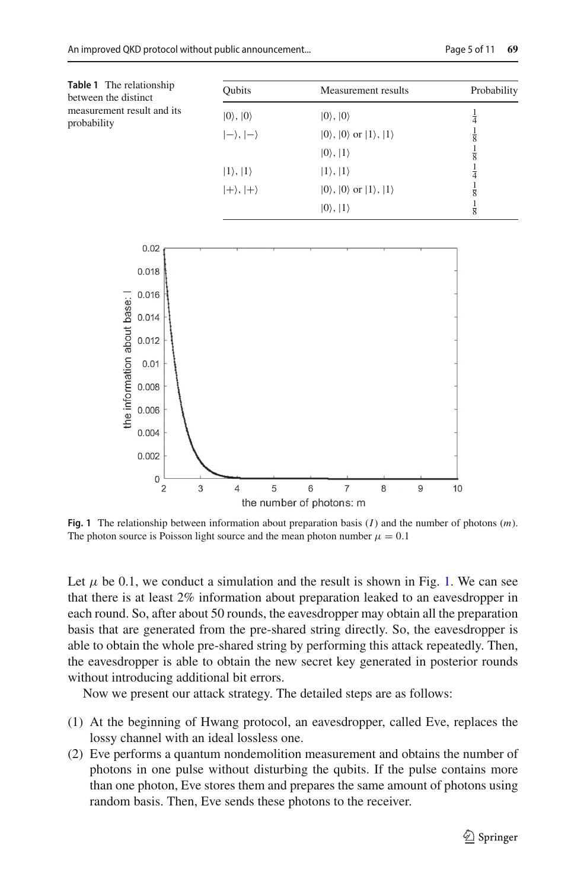<span id="page-4-0"></span>

| <b>Table 1</b> The relationship<br>between the distinct<br>measurement result and its<br>probability | <b>Oubits</b>          | Measurement results                                    | Probability   |
|------------------------------------------------------------------------------------------------------|------------------------|--------------------------------------------------------|---------------|
|                                                                                                      | $ 0\rangle,  0\rangle$ | $ 0\rangle,  0\rangle$                                 | $\frac{1}{4}$ |
|                                                                                                      | $ -\rangle,  -\rangle$ | $ 0\rangle$ , $ 0\rangle$ or $ 1\rangle$ , $ 1\rangle$ | $\frac{1}{8}$ |
|                                                                                                      |                        | $ 0\rangle,  1\rangle$                                 | $\frac{1}{8}$ |
|                                                                                                      | $ 1\rangle,  1\rangle$ | $ 1\rangle,  1\rangle$                                 | $\frac{1}{4}$ |
|                                                                                                      | $ +\rangle,  +\rangle$ | $ 0\rangle$ , $ 0\rangle$ or $ 1\rangle$ , $ 1\rangle$ | $\frac{1}{8}$ |
|                                                                                                      |                        | $ 0\rangle,  1\rangle$                                 | $\frac{1}{8}$ |



<span id="page-4-1"></span>**Fig. 1** The relationship between information about preparation basis (*I*) and the number of photons (*m*). The photon source is Poisson light source and the mean photon number  $\mu = 0.1$ 

Let  $\mu$  be 0.1, we conduct a simulation and the result is shown in Fig. [1.](#page-4-1) We can see that there is at least 2% information about preparation leaked to an eavesdropper in each round. So, after about 50 rounds, the eavesdropper may obtain all the preparation basis that are generated from the pre-shared string directly. So, the eavesdropper is able to obtain the whole pre-shared string by performing this attack repeatedly. Then, the eavesdropper is able to obtain the new secret key generated in posterior rounds without introducing additional bit errors.

Now we present our attack strategy. The detailed steps are as follows:

- (1) At the beginning of Hwang protocol, an eavesdropper, called Eve, replaces the lossy channel with an ideal lossless one.
- (2) Eve performs a quantum nondemolition measurement and obtains the number of photons in one pulse without disturbing the qubits. If the pulse contains more than one photon, Eve stores them and prepares the same amount of photons using random basis. Then, Eve sends these photons to the receiver.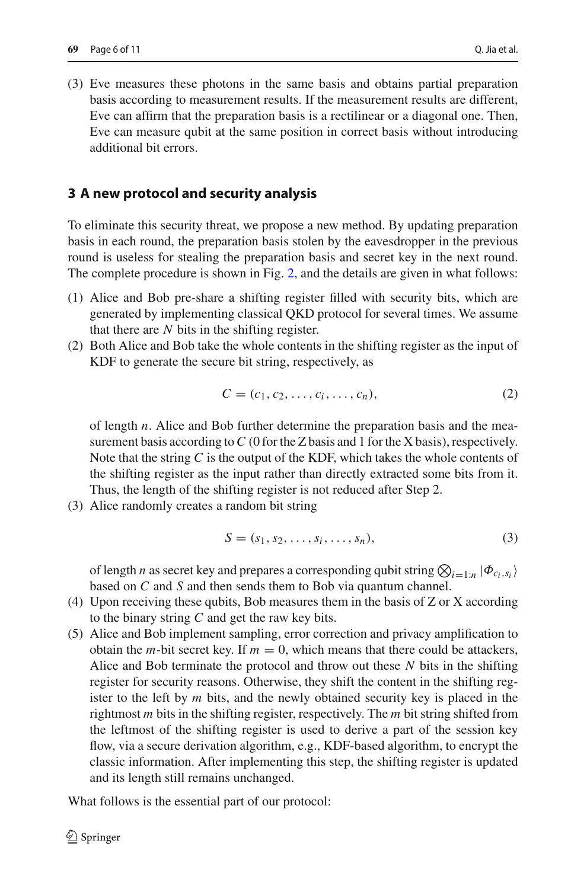(3) Eve measures these photons in the same basis and obtains partial preparation basis according to measurement results. If the measurement results are different, Eve can affirm that the preparation basis is a rectilinear or a diagonal one. Then, Eve can measure qubit at the same position in correct basis without introducing additional bit errors.

#### **3 A new protocol and security analysis**

To eliminate this security threat, we propose a new method. By updating preparation basis in each round, the preparation basis stolen by the eavesdropper in the previous round is useless for stealing the preparation basis and secret key in the next round. The complete procedure is shown in Fig. [2,](#page-6-0) and the details are given in what follows:

- (1) Alice and Bob pre-share a shifting register filled with security bits, which are generated by implementing classical QKD protocol for several times. We assume that there are *N* bits in the shifting register.
- (2) Both Alice and Bob take the whole contents in the shifting register as the input of KDF to generate the secure bit string, respectively, as

$$
C = (c_1, c_2, \dots, c_i, \dots, c_n),
$$
 (2)

of length *n*. Alice and Bob further determine the preparation basis and the measurement basis according to C (0 for the Z basis and 1 for the X basis), respectively. Note that the string *C* is the output of the KDF, which takes the whole contents of the shifting register as the input rather than directly extracted some bits from it. Thus, the length of the shifting register is not reduced after Step 2.

(3) Alice randomly creates a random bit string

$$
S = (s_1, s_2, \dots, s_i, \dots, s_n),
$$
\n<sup>(3)</sup>

of length *n* as secret key and prepares a corresponding qubit string  $\bigotimes_{i=1:n} |\Phi_{c_i,s_i}\rangle$ based on *C* and *S* and then sends them to Bob via quantum channel.

- (4) Upon receiving these qubits, Bob measures them in the basis of Z or X according to the binary string *C* and get the raw key bits.
- (5) Alice and Bob implement sampling, error correction and privacy amplification to obtain the *m*-bit secret key. If  $m = 0$ , which means that there could be attackers, Alice and Bob terminate the protocol and throw out these *N* bits in the shifting register for security reasons. Otherwise, they shift the content in the shifting register to the left by *m* bits, and the newly obtained security key is placed in the rightmost *m* bits in the shifting register, respectively. The *m* bit string shifted from the leftmost of the shifting register is used to derive a part of the session key flow, via a secure derivation algorithm, e.g., KDF-based algorithm, to encrypt the classic information. After implementing this step, the shifting register is updated and its length still remains unchanged.

What follows is the essential part of our protocol: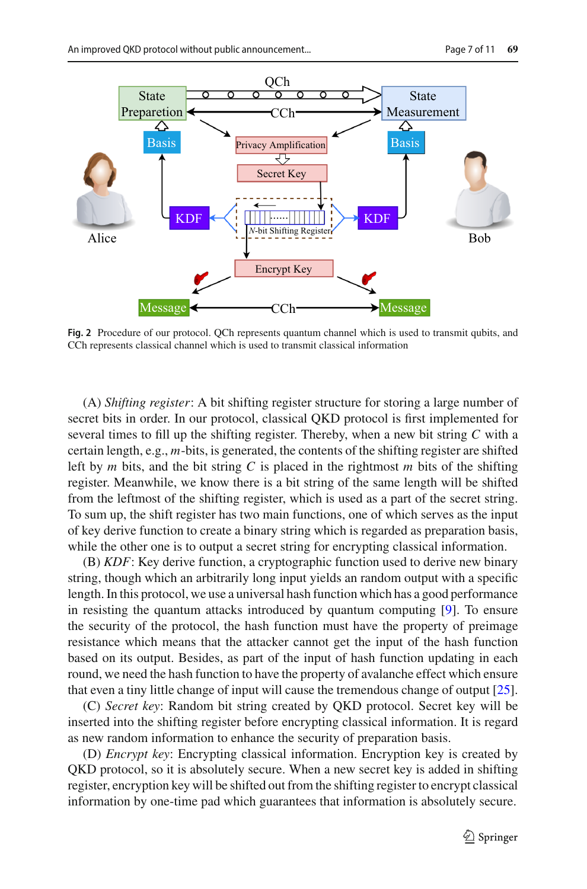

<span id="page-6-0"></span>**Fig. 2** Procedure of our protocol. QCh represents quantum channel which is used to transmit qubits, and CCh represents classical channel which is used to transmit classical information

(A) *Shifting register*: A bit shifting register structure for storing a large number of secret bits in order. In our protocol, classical QKD protocol is first implemented for several times to fill up the shifting register. Thereby, when a new bit string *C* with a certain length, e.g., *m*-bits, is generated, the contents of the shifting register are shifted left by *m* bits, and the bit string *C* is placed in the rightmost *m* bits of the shifting register. Meanwhile, we know there is a bit string of the same length will be shifted from the leftmost of the shifting register, which is used as a part of the secret string. To sum up, the shift register has two main functions, one of which serves as the input of key derive function to create a binary string which is regarded as preparation basis, while the other one is to output a secret string for encrypting classical information.

(B) *KDF*: Key derive function, a cryptographic function used to derive new binary string, though which an arbitrarily long input yields an random output with a specific length. In this protocol, we use a universal hash function which has a good performance in resisting the quantum attacks introduced by quantum computing [\[9\]](#page-9-13). To ensure the security of the protocol, the hash function must have the property of preimage resistance which means that the attacker cannot get the input of the hash function based on its output. Besides, as part of the input of hash function updating in each round, we need the hash function to have the property of avalanche effect which ensure that even a tiny little change of input will cause the tremendous change of output  $[25]$  $[25]$ .

(C) *Secret key*: Random bit string created by QKD protocol. Secret key will be inserted into the shifting register before encrypting classical information. It is regard as new random information to enhance the security of preparation basis.

(D) *Encrypt key*: Encrypting classical information. Encryption key is created by QKD protocol, so it is absolutely secure. When a new secret key is added in shifting register, encryption key will be shifted out from the shifting register to encrypt classical information by one-time pad which guarantees that information is absolutely secure.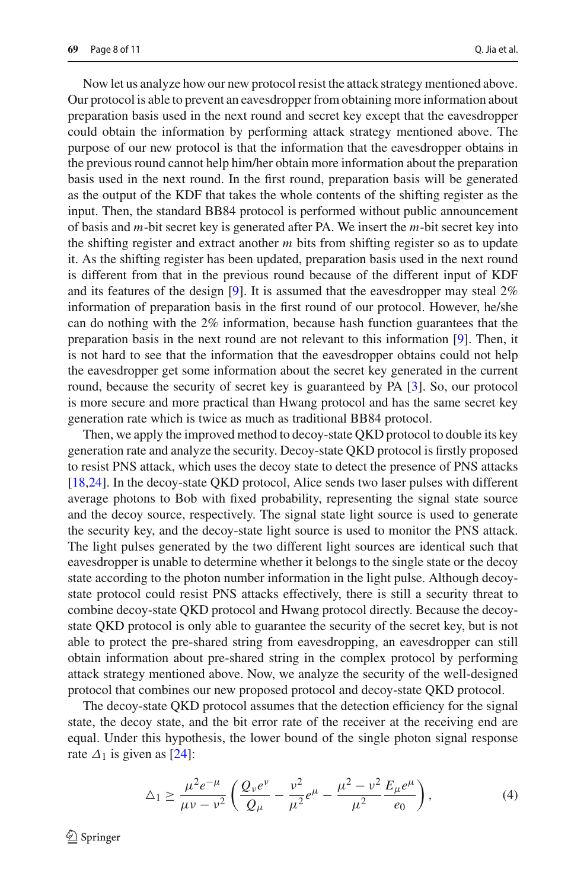Now let us analyze how our new protocol resist the attack strategy mentioned above. Our protocol is able to prevent an eavesdropper from obtaining more information about preparation basis used in the next round and secret key except that the eavesdropper could obtain the information by performing attack strategy mentioned above. The purpose of our new protocol is that the information that the eavesdropper obtains in the previous round cannot help him/her obtain more information about the preparation basis used in the next round. In the first round, preparation basis will be generated as the output of the KDF that takes the whole contents of the shifting register as the input. Then, the standard BB84 protocol is performed without public announcement of basis and *m*-bit secret key is generated after PA. We insert the *m*-bit secret key into the shifting register and extract another *m* bits from shifting register so as to update it. As the shifting register has been updated, preparation basis used in the next round is different from that in the previous round because of the different input of KDF and its features of the design [\[9](#page-9-13)]. It is assumed that the eavesdropper may steal 2% information of preparation basis in the first round of our protocol. However, he/she can do nothing with the 2% information, because hash function guarantees that the preparation basis in the next round are not relevant to this information [\[9\]](#page-9-13). Then, it is not hard to see that the information that the eavesdropper obtains could not help the eavesdropper get some information about the secret key generated in the current round, because the security of secret key is guaranteed by PA [\[3](#page-9-12)]. So, our protocol is more secure and more practical than Hwang protocol and has the same secret key generation rate which is twice as much as traditional BB84 protocol.

Then, we apply the improved method to decoy-state QKD protocol to double its key generation rate and analyze the security. Decoy-state QKD protocol is firstly proposed to resist PNS attack, which uses the decoy state to detect the presence of PNS attacks [\[18](#page-10-3)[,24](#page-10-4)]. In the decoy-state QKD protocol, Alice sends two laser pulses with different average photons to Bob with fixed probability, representing the signal state source and the decoy source, respectively. The signal state light source is used to generate the security key, and the decoy-state light source is used to monitor the PNS attack. The light pulses generated by the two different light sources are identical such that eavesdropper is unable to determine whether it belongs to the single state or the decoy state according to the photon number information in the light pulse. Although decoystate protocol could resist PNS attacks effectively, there is still a security threat to combine decoy-state QKD protocol and Hwang protocol directly. Because the decoystate QKD protocol is only able to guarantee the security of the secret key, but is not able to protect the pre-shared string from eavesdropping, an eavesdropper can still obtain information about pre-shared string in the complex protocol by performing attack strategy mentioned above. Now, we analyze the security of the well-designed protocol that combines our new proposed protocol and decoy-state QKD protocol.

The decoy-state QKD protocol assumes that the detection efficiency for the signal state, the decoy state, and the bit error rate of the receiver at the receiving end are equal. Under this hypothesis, the lower bound of the single photon signal response rate  $\Delta_1$  is given as [\[24](#page-10-4)]:

$$
\Delta_1 \ge \frac{\mu^2 e^{-\mu}}{\mu \nu - \nu^2} \left( \frac{Q_\nu e^{\nu}}{Q_\mu} - \frac{\nu^2}{\mu^2} e^{\mu} - \frac{\mu^2 - \nu^2}{\mu^2} \frac{E_\mu e^{\mu}}{e_0} \right),\tag{4}
$$

 $\mathcal{L}$  Springer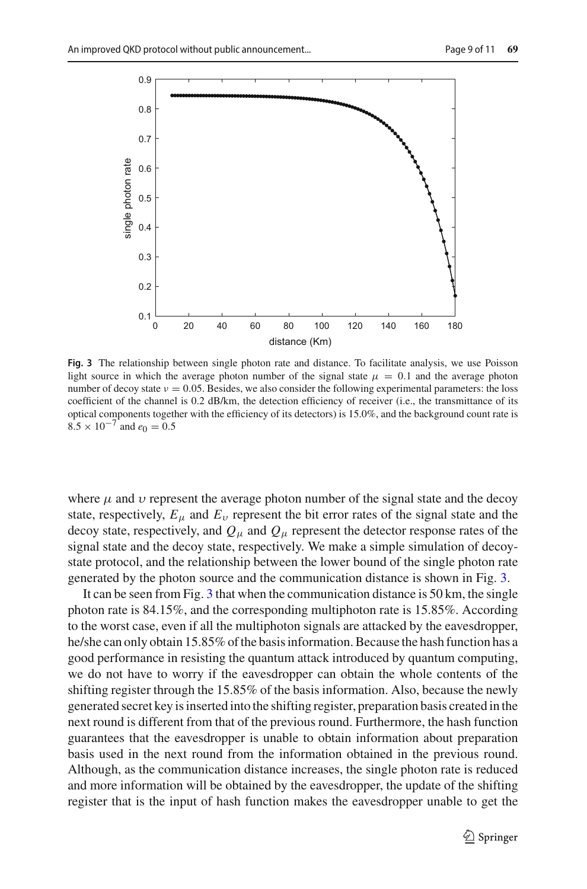

<span id="page-8-0"></span>**Fig. 3** The relationship between single photon rate and distance. To facilitate analysis, we use Poisson light source in which the average photon number of the signal state  $\mu = 0.1$  and the average photon number of decoy state  $v = 0.05$ . Besides, we also consider the following experimental parameters: the loss coefficient of the channel is 0.2 dB/km, the detection efficiency of receiver (i.e., the transmittance of its optical components together with the efficiency of its detectors) is 15.0%, and the background count rate is  $8.5 \times 10^{-7}$  and  $e_0 = 0.5$ 

where  $\mu$  and  $\nu$  represent the average photon number of the signal state and the decoy state, respectively,  $E_{\mu}$  and  $E_{\nu}$  represent the bit error rates of the signal state and the decoy state, respectively, and  $Q_\mu$  and  $Q_\mu$  represent the detector response rates of the signal state and the decoy state, respectively. We make a simple simulation of decoystate protocol, and the relationship between the lower bound of the single photon rate generated by the photon source and the communication distance is shown in Fig. [3.](#page-8-0)

It can be seen from Fig. [3](#page-8-0) that when the communication distance is 50 km, the single photon rate is 84.15%, and the corresponding multiphoton rate is 15.85%. According to the worst case, even if all the multiphoton signals are attacked by the eavesdropper, he/she can only obtain 15.85% of the basis information. Because the hash function has a good performance in resisting the quantum attack introduced by quantum computing, we do not have to worry if the eavesdropper can obtain the whole contents of the shifting register through the 15.85% of the basis information. Also, because the newly generated secret key is inserted into the shifting register, preparation basis created in the next round is different from that of the previous round. Furthermore, the hash function guarantees that the eavesdropper is unable to obtain information about preparation basis used in the next round from the information obtained in the previous round. Although, as the communication distance increases, the single photon rate is reduced and more information will be obtained by the eavesdropper, the update of the shifting register that is the input of hash function makes the eavesdropper unable to get the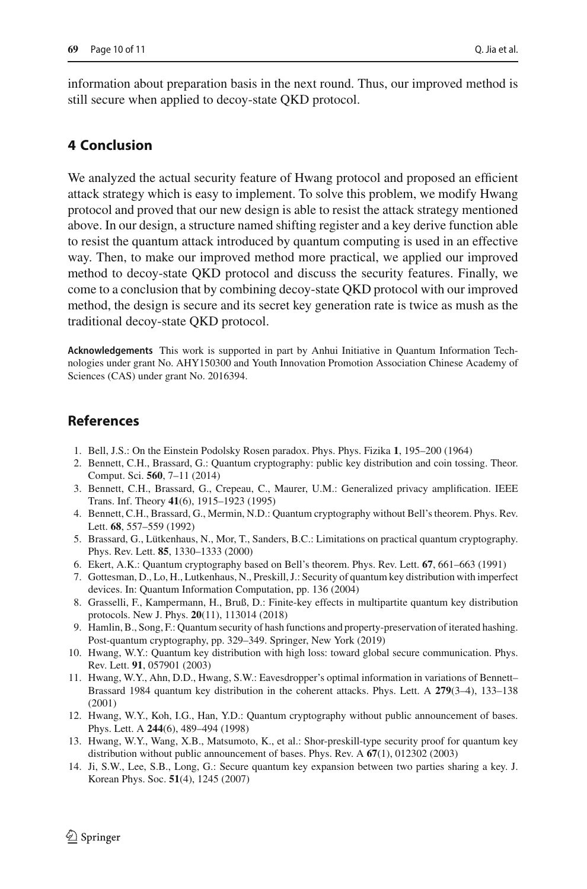information about preparation basis in the next round. Thus, our improved method is still secure when applied to decoy-state QKD protocol.

#### **4 Conclusion**

We analyzed the actual security feature of Hwang protocol and proposed an efficient attack strategy which is easy to implement. To solve this problem, we modify Hwang protocol and proved that our new design is able to resist the attack strategy mentioned above. In our design, a structure named shifting register and a key derive function able to resist the quantum attack introduced by quantum computing is used in an effective way. Then, to make our improved method more practical, we applied our improved method to decoy-state QKD protocol and discuss the security features. Finally, we come to a conclusion that by combining decoy-state QKD protocol with our improved method, the design is secure and its secret key generation rate is twice as mush as the traditional decoy-state QKD protocol.

**Acknowledgements** This work is supported in part by Anhui Initiative in Quantum Information Technologies under grant No. AHY150300 and Youth Innovation Promotion Association Chinese Academy of Sciences (CAS) under grant No. 2016394.

#### **References**

- <span id="page-9-11"></span>1. Bell, J.S.: On the Einstein Podolsky Rosen paradox. Phys. Phys. Fizika **1**, 195–200 (1964)
- <span id="page-9-1"></span>2. Bennett, C.H., Brassard, G.: Quantum cryptography: public key distribution and coin tossing. Theor. Comput. Sci. **560**, 7–11 (2014)
- <span id="page-9-12"></span>3. Bennett, C.H., Brassard, G., Crepeau, C., Maurer, U.M.: Generalized privacy amplification. IEEE Trans. Inf. Theory **41**(6), 1915–1923 (1995)
- <span id="page-9-9"></span>4. Bennett, C.H., Brassard, G., Mermin, N.D.: Quantum cryptography without Bell's theorem. Phys. Rev. Lett. **68**, 557–559 (1992)
- <span id="page-9-3"></span>5. Brassard, G., Lütkenhaus, N., Mor, T., Sanders, B.C.: Limitations on practical quantum cryptography. Phys. Rev. Lett. **85**, 1330–1333 (2000)
- <span id="page-9-10"></span>6. Ekert, A.K.: Quantum cryptography based on Bell's theorem. Phys. Rev. Lett. **67**, 661–663 (1991)
- <span id="page-9-2"></span>7. Gottesman, D., Lo, H., Lutkenhaus, N., Preskill, J.: Security of quantum key distribution with imperfect devices. In: Quantum Information Computation, pp. 136 (2004)
- <span id="page-9-8"></span>8. Grasselli, F., Kampermann, H., Bruß, D.: Finite-key effects in multipartite quantum key distribution protocols. New J. Phys. **20**(11), 113014 (2018)
- <span id="page-9-13"></span>9. Hamlin, B., Song, F.: Quantum security of hash functions and property-preservation of iterated hashing. Post-quantum cryptography, pp. 329–349. Springer, New York (2019)
- <span id="page-9-4"></span>10. Hwang, W.Y.: Quantum key distribution with high loss: toward global secure communication. Phys. Rev. Lett. **91**, 057901 (2003)
- <span id="page-9-6"></span>11. Hwang, W.Y., Ahn, D.D., Hwang, S.W.: Eavesdropper's optimal information in variations of Bennett– Brassard 1984 quantum key distribution in the coherent attacks. Phys. Lett. A **279**(3–4), 133–138 (2001)
- <span id="page-9-0"></span>12. Hwang, W.Y., Koh, I.G., Han, Y.D.: Quantum cryptography without public announcement of bases. Phys. Lett. A **244**(6), 489–494 (1998)
- <span id="page-9-7"></span>13. Hwang, W.Y., Wang, X.B., Matsumoto, K., et al.: Shor-preskill-type security proof for quantum key distribution without public announcement of bases. Phys. Rev. A **67**(1), 012302 (2003)
- <span id="page-9-5"></span>14. Ji, S.W., Lee, S.B., Long, G.: Secure quantum key expansion between two parties sharing a key. J. Korean Phys. Soc. **51**(4), 1245 (2007)